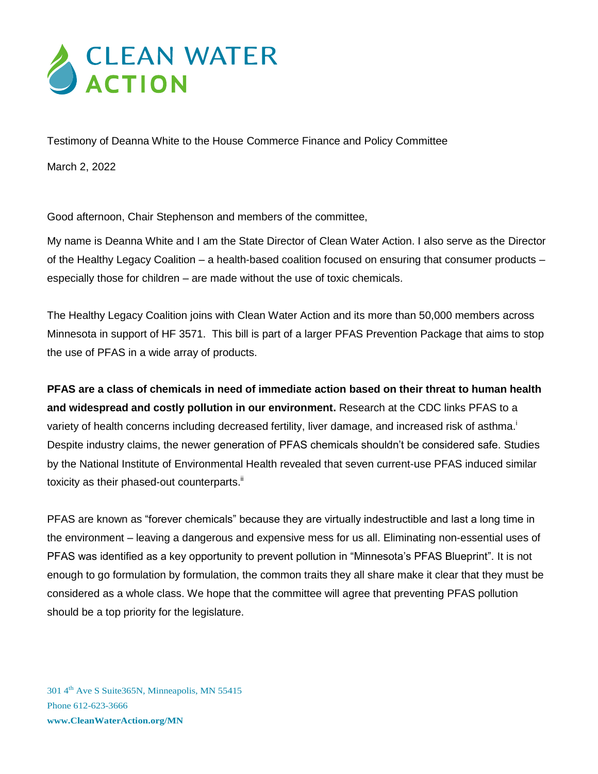## **SELEAN WATER**

Testimony of Deanna White to the House Commerce Finance and Policy Committee

March 2, 2022

Good afternoon, Chair Stephenson and members of the committee,

My name is Deanna White and I am the State Director of Clean Water Action. I also serve as the Director of the Healthy Legacy Coalition – a health-based coalition focused on ensuring that consumer products – especially those for children – are made without the use of toxic chemicals.

The Healthy Legacy Coalition joins with Clean Water Action and its more than 50,000 members across Minnesota in support of HF 3571. This bill is part of a larger PFAS Prevention Package that aims to stop the use of PFAS in a wide array of products.

**PFAS are a class of chemicals in need of immediate action based on their threat to human health and widespread and costly pollution in our environment.** Research at the CDC links PFAS to a variety of health concerns including decreased fertility, liver damage, and increased risk of asthma.<sup>i</sup> Despite industry claims, the newer generation of PFAS chemicals shouldn't be considered safe. Studies by the National Institute of Environmental Health revealed that seven current-use PFAS induced similar toxicity as their phased-out counterparts.<sup>ii</sup>

PFAS are known as "forever chemicals" because they are virtually indestructible and last a long time in the environment – leaving a dangerous and expensive mess for us all. Eliminating non-essential uses of PFAS was identified as a key opportunity to prevent pollution in "Minnesota's PFAS Blueprint". It is not enough to go formulation by formulation, the common traits they all share make it clear that they must be considered as a whole class. We hope that the committee will agree that preventing PFAS pollution should be a top priority for the legislature.

301 4<sup>th</sup> Ave S Suite 365N, Minneapolis, MN 55415 Phone 612-623-3666 **www.CleanWaterAction.org/MN**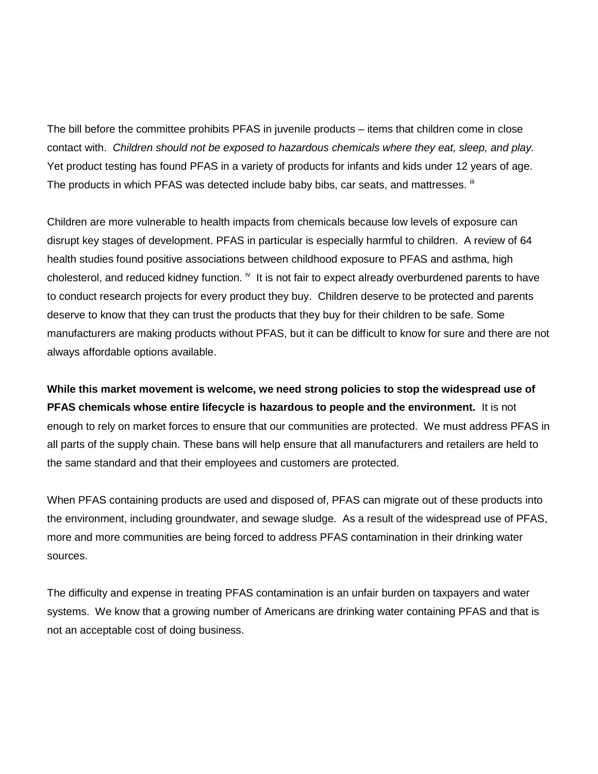The bill before the committee prohibits PFAS in juvenile products – items that children come in close contact with. *Children should not be exposed to hazardous chemicals where they eat, sleep, and play.* Yet product testing has found PFAS in a variety of products for infants and kids under 12 years of age. The products in which PFAS was detected include baby bibs, car seats, and mattresses.  $^{\text{III}}$ 

Children are more vulnerable to health impacts from chemicals because low levels of exposure can disrupt key stages of development. PFAS in particular is especially harmful to children. A review of 64 health studies found positive associations between childhood exposure to PFAS and asthma, high cholesterol, and reduced kidney function. <sup>iv</sup> It is not fair to expect already overburdened parents to have to conduct research projects for every product they buy. Children deserve to be protected and parents deserve to know that they can trust the products that they buy for their children to be safe. Some manufacturers are making products without PFAS, but it can be difficult to know for sure and there are not always affordable options available.

**While this market movement is welcome, we need strong policies to stop the widespread use of PFAS chemicals whose entire lifecycle is hazardous to people and the environment.** It is not enough to rely on market forces to ensure that our communities are protected. We must address PFAS in all parts of the supply chain. These bans will help ensure that all manufacturers and retailers are held to the same standard and that their employees and customers are protected.

When PFAS containing products are used and disposed of, PFAS can migrate out of these products into the environment, including groundwater, and sewage sludge. As a result of the widespread use of PFAS, more and more communities are being forced to address PFAS contamination in their drinking water sources.

The difficulty and expense in treating PFAS contamination is an unfair burden on taxpayers and water systems. We know that a growing number of Americans are drinking water containing PFAS and that is not an acceptable cost of doing business.